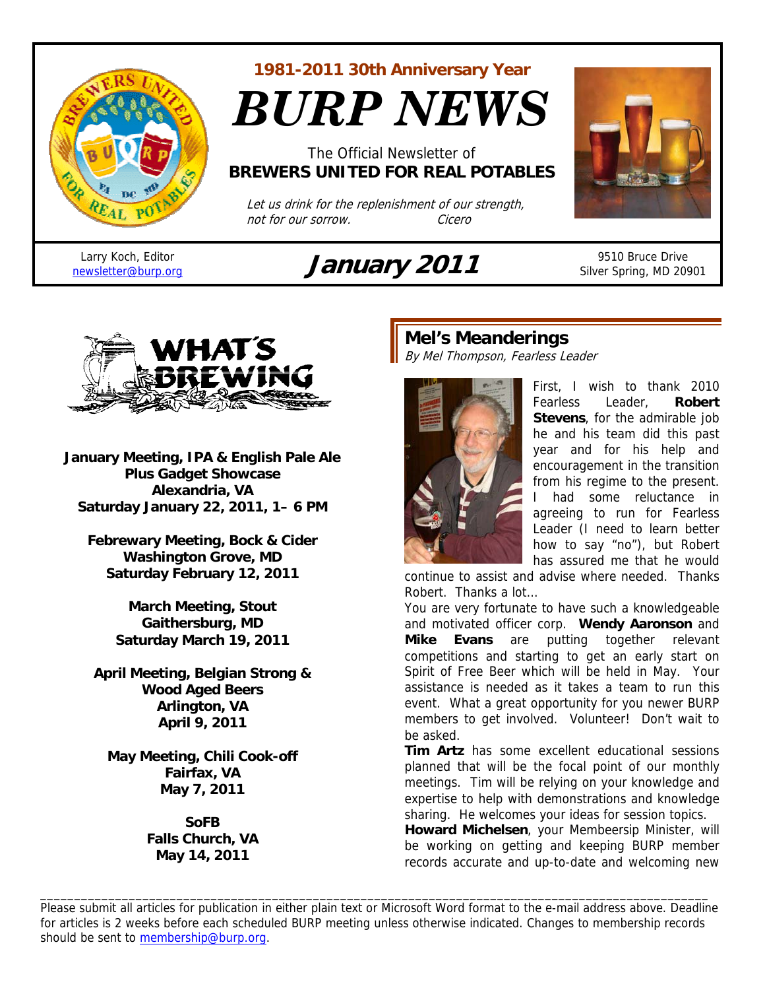

**1981-2011 30th Anniversary Year** 

*BURP NEWS*

The Official Newsletter of **BREWERS UNITED FOR REAL POTABLES**

 Let us drink for the replenishment of our strength, not for our sorrow. Cicero

Larry Koch, Editor



Larry Koch, Editor<br>
newsletter@burp.org **January 2011** 9510 Bruce Drive Silver Spring, MD 20901



**January Meeting, IPA & English Pale Ale Plus Gadget Showcase Alexandria, VA Saturday January 22, 2011, 1– 6 PM** 

**Febrewary Meeting, Bock & Cider Washington Grove, MD Saturday February 12, 2011** 

> **March Meeting, Stout Gaithersburg, MD Saturday March 19, 2011**

**April Meeting, Belgian Strong & Wood Aged Beers Arlington, VA April 9, 2011** 

**May Meeting, Chili Cook-off Fairfax, VA May 7, 2011** 

> **SoFB Falls Church, VA May 14, 2011**

# **Mel's Meanderings**

By Mel Thompson, Fearless Leader



First, I wish to thank 2010 Fearless Leader, **Robert Stevens**, for the admirable job he and his team did this past year and for his help and encouragement in the transition from his regime to the present. I had some reluctance in agreeing to run for Fearless Leader (I need to learn better how to say "no"), but Robert has assured me that he would

continue to assist and advise where needed. Thanks Robert. Thanks a lot…

You are very fortunate to have such a knowledgeable and motivated officer corp. **Wendy Aaronson** and **Mike Evans** are putting together relevant competitions and starting to get an early start on Spirit of Free Beer which will be held in May. Your assistance is needed as it takes a team to run this event. What a great opportunity for you newer BURP members to get involved. Volunteer! Don't wait to be asked.

**Tim Artz** has some excellent educational sessions planned that will be the focal point of our monthly meetings. Tim will be relying on your knowledge and expertise to help with demonstrations and knowledge sharing. He welcomes your ideas for session topics.

**Howard Michelsen**, your Membeersip Minister, will be working on getting and keeping BURP member records accurate and up-to-date and welcoming new

Please submit all articles for publication in either plain text or Microsoft Word format to the e-mail address above. Deadline for articles is 2 weeks before each scheduled BURP meeting unless otherwise indicated. Changes to membership records should be sent to membership@burp.org.

\_\_\_\_\_\_\_\_\_\_\_\_\_\_\_\_\_\_\_\_\_\_\_\_\_\_\_\_\_\_\_\_\_\_\_\_\_\_\_\_\_\_\_\_\_\_\_\_\_\_\_\_\_\_\_\_\_\_\_\_\_\_\_\_\_\_\_\_\_\_\_\_\_\_\_\_\_\_\_\_\_\_\_\_\_\_\_\_\_\_\_\_\_\_\_\_\_\_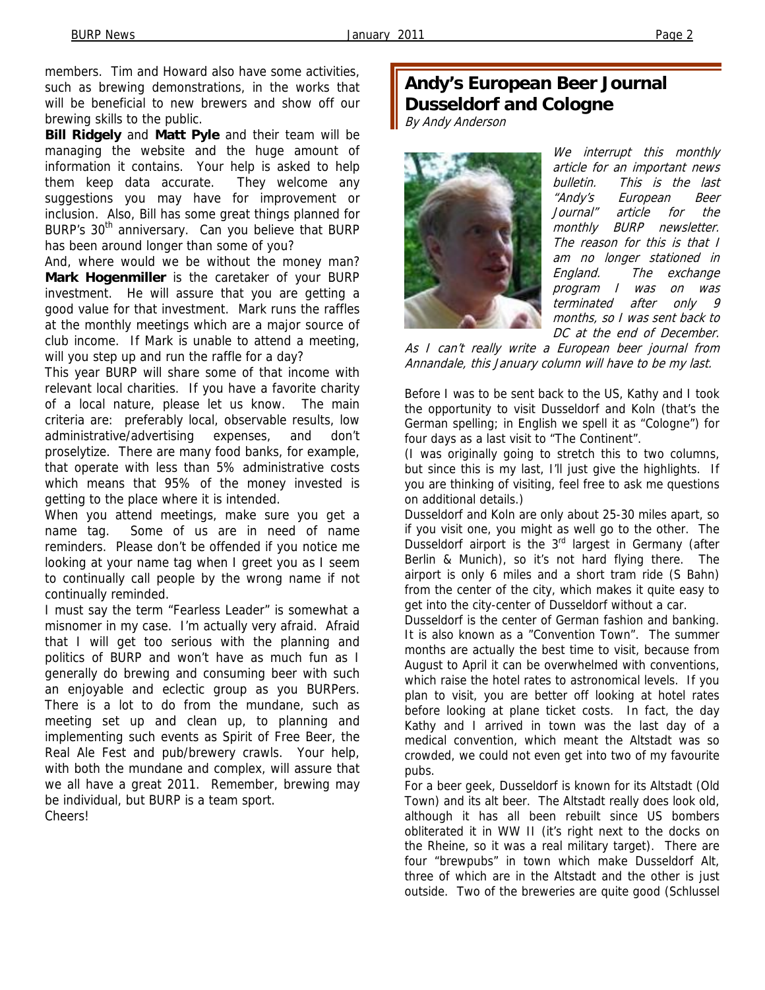members. Tim and Howard also have some activities, such as brewing demonstrations, in the works that will be beneficial to new brewers and show off our brewing skills to the public.

**Bill Ridgely** and **Matt Pyle** and their team will be managing the website and the huge amount of information it contains. Your help is asked to help them keep data accurate. They welcome any suggestions you may have for improvement or inclusion. Also, Bill has some great things planned for BURP's 30<sup>th</sup> anniversary. Can you believe that BURP has been around longer than some of you?

And, where would we be without the money man? **Mark Hogenmiller** is the caretaker of your BURP investment. He will assure that you are getting a good value for that investment. Mark runs the raffles at the monthly meetings which are a major source of club income. If Mark is unable to attend a meeting, will you step up and run the raffle for a day?

This year BURP will share some of that income with relevant local charities. If you have a favorite charity of a local nature, please let us know. The main criteria are: preferably local, observable results, low administrative/advertising expenses, and don't proselytize. There are many food banks, for example, that operate with less than 5% administrative costs which means that 95% of the money invested is getting to the place where it is intended.

When you attend meetings, make sure you get a name tag. Some of us are in need of name reminders. Please don't be offended if you notice me looking at your name tag when I greet you as I seem to continually call people by the wrong name if not continually reminded.

I must say the term "Fearless Leader" is somewhat a misnomer in my case. I'm actually very afraid. Afraid that I will get too serious with the planning and politics of BURP and won't have as much fun as I generally do brewing and consuming beer with such an enjoyable and eclectic group as you BURPers. There is a lot to do from the mundane, such as meeting set up and clean up, to planning and implementing such events as Spirit of Free Beer, the Real Ale Fest and pub/brewery crawls. Your help, with both the mundane and complex, will assure that we all have a great 2011. Remember, brewing may be individual, but BURP is a team sport. Cheers!

# **Andy's European Beer Journal Dusseldorf and Cologne**

By Andy Anderson



We interrupt this monthly article for an important news bulletin. This is the last "Andy's European Beer Journal" article for the monthly BURP newsletter. The reason for this is that I am no longer stationed in England. The exchange program I was on was terminated after only 9 months, so I was sent back to DC at the end of December.

As I can't really write a European beer journal from Annandale, this January column will have to be my last.

Before I was to be sent back to the US, Kathy and I took the opportunity to visit Dusseldorf and Koln (that's the German spelling; in English we spell it as "Cologne") for four days as a last visit to "The Continent".

(I was originally going to stretch this to two columns, but since this is my last, I'll just give the highlights. If you are thinking of visiting, feel free to ask me questions on additional details.)

Dusseldorf and Koln are only about 25-30 miles apart, so if you visit one, you might as well go to the other. The Dusseldorf airport is the 3<sup>rd</sup> largest in Germany (after Berlin & Munich), so it's not hard flying there. The airport is only 6 miles and a short tram ride (S Bahn) from the center of the city, which makes it quite easy to get into the city-center of Dusseldorf without a car.

Dusseldorf is the center of German fashion and banking. It is also known as a "Convention Town". The summer months are actually the best time to visit, because from August to April it can be overwhelmed with conventions, which raise the hotel rates to astronomical levels. If you plan to visit, you are better off looking at hotel rates before looking at plane ticket costs. In fact, the day Kathy and I arrived in town was the last day of a medical convention, which meant the Altstadt was so crowded, we could not even get into two of my favourite pubs.

For a beer geek, Dusseldorf is known for its Altstadt (Old Town) and its alt beer. The Altstadt really does look old, although it has all been rebuilt since US bombers obliterated it in WW II (it's right next to the docks on the Rheine, so it was a real military target). There are four "brewpubs" in town which make Dusseldorf Alt, three of which are in the Altstadt and the other is just outside. Two of the breweries are quite good (Schlussel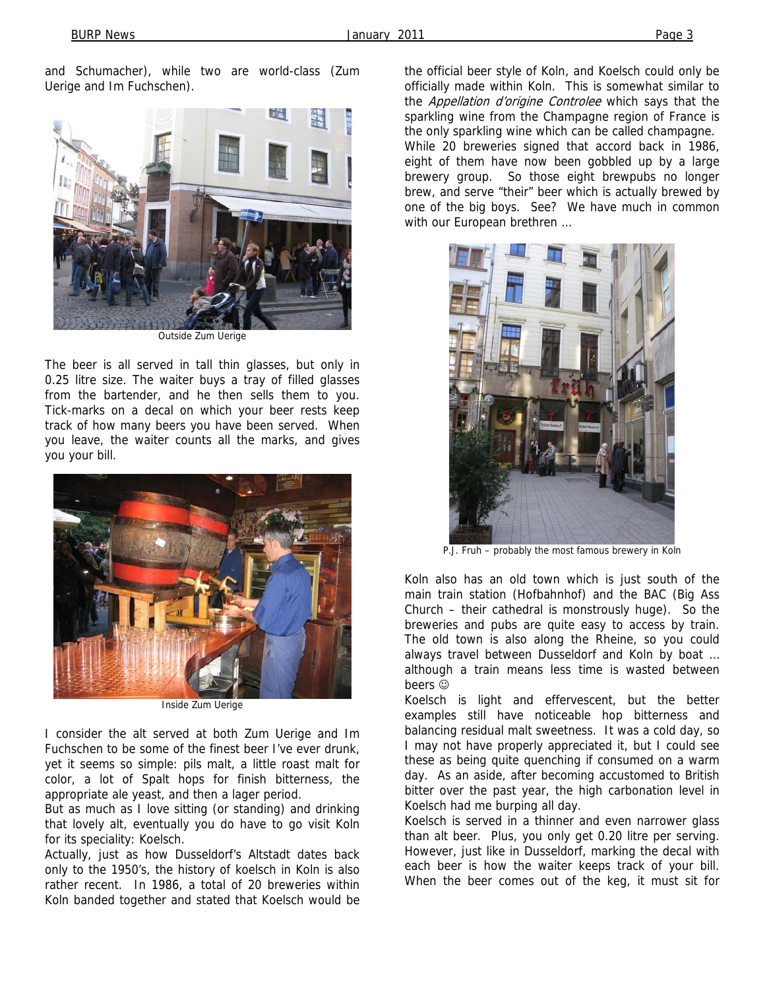and Schumacher), while two are world-class (Zum Uerige and Im Fuchschen).



Outside Zum Uerige

The beer is all served in tall thin glasses, but only in 0.25 litre size. The waiter buys a tray of filled glasses from the bartender, and he then sells them to you. Tick-marks on a decal on which your beer rests keep track of how many beers you have been served. When you leave, the waiter counts all the marks, and gives you your bill.



Inside Zum Uerige

I consider the alt served at both Zum Uerige and Im Fuchschen to be some of the finest beer I've ever drunk, yet it seems so simple: pils malt, a little roast malt for color, a lot of Spalt hops for finish bitterness, the appropriate ale yeast, and then a lager period.

But as much as I love sitting (or standing) and drinking that lovely alt, eventually you do have to go visit Koln for its speciality: Koelsch.

Actually, just as how Dusseldorf's Altstadt dates back only to the 1950's, the history of koelsch in Koln is also rather recent. In 1986, a total of 20 breweries within Koln banded together and stated that Koelsch would be

the official beer style of Koln, and Koelsch could only be officially made within Koln. This is somewhat similar to the Appellation d'origine Controlee which says that the sparkling wine from the Champagne region of France is the only sparkling wine which can be called champagne. While 20 breweries signed that accord back in 1986, eight of them have now been gobbled up by a large brewery group. So those eight brewpubs no longer brew, and serve "their" beer which is actually brewed by one of the big boys. See? We have much in common with our European brethren …



P.J. Fruh – probably the most famous brewery in Koln

Koln also has an old town which is just south of the main train station (Hofbahnhof) and the BAC (Big Ass Church – their cathedral is monstrously huge). So the breweries and pubs are quite easy to access by train. The old town is also along the Rheine, so you could always travel between Dusseldorf and Koln by boat … although a train means less time is wasted between beers  $\odot$ 

Koelsch is light and effervescent, but the better examples still have noticeable hop bitterness and balancing residual malt sweetness. It was a cold day, so I may not have properly appreciated it, but I could see these as being quite quenching if consumed on a warm day. As an aside, after becoming accustomed to British bitter over the past year, the high carbonation level in Koelsch had me burping all day.

Koelsch is served in a thinner and even narrower glass than alt beer. Plus, you only get 0.20 litre per serving. However, just like in Dusseldorf, marking the decal with each beer is how the waiter keeps track of your bill. When the beer comes out of the keg, it must sit for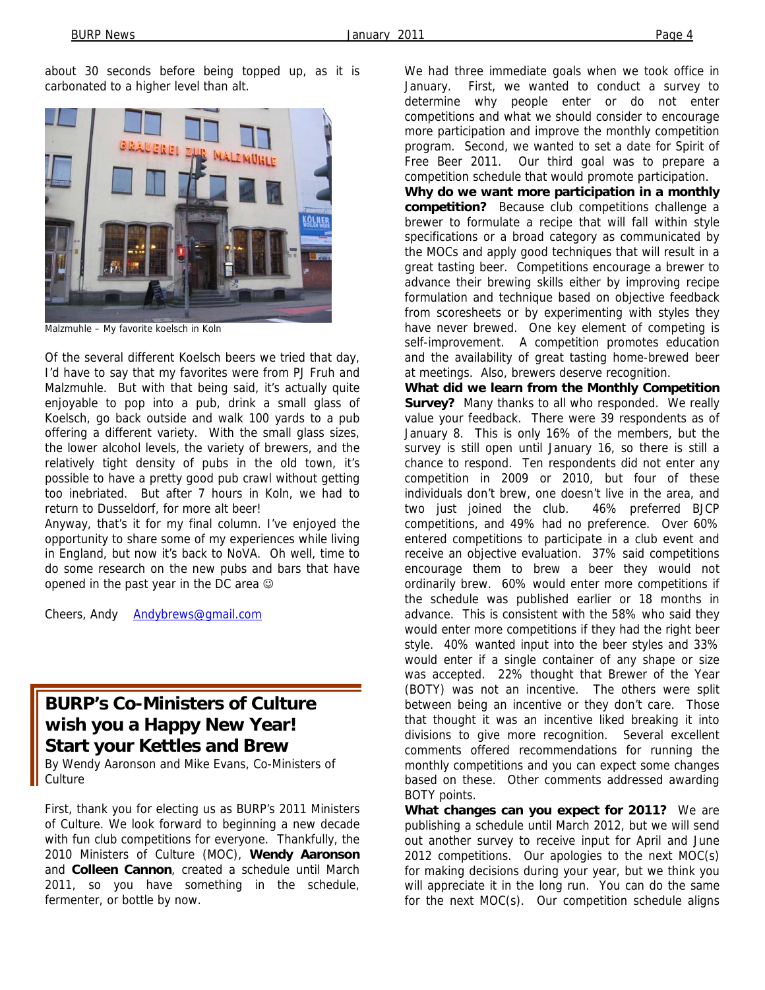about 30 seconds before being topped up, as it is carbonated to a higher level than alt.



Malzmuhle – My favorite koelsch in Koln

Of the several different Koelsch beers we tried that day, I'd have to say that my favorites were from PJ Fruh and Malzmuhle. But with that being said, it's actually quite enjoyable to pop into a pub, drink a small glass of Koelsch, go back outside and walk 100 yards to a pub offering a different variety. With the small glass sizes, the lower alcohol levels, the variety of brewers, and the relatively tight density of pubs in the old town, it's possible to have a pretty good pub crawl without getting too inebriated. But after 7 hours in Koln, we had to return to Dusseldorf, for more alt beer!

Anyway, that's it for my final column. I've enjoyed the opportunity to share some of my experiences while living in England, but now it's back to NoVA. Oh well, time to do some research on the new pubs and bars that have opened in the past year in the DC area  $\odot$ 

Cheers, Andy Andybrews@gmail.com

## **BURP's Co-Ministers of Culture wish you a Happy New Year! Start your Kettles and Brew**

By Wendy Aaronson and Mike Evans, Co-Ministers of **Culture** 

First, thank you for electing us as BURP's 2011 Ministers of Culture. We look forward to beginning a new decade with fun club competitions for everyone. Thankfully, the 2010 Ministers of Culture (MOC), **Wendy Aaronson** and **Colleen Cannon**, created a schedule until March 2011, so you have something in the schedule, fermenter, or bottle by now.

We had three immediate goals when we took office in January. First, we wanted to conduct a survey to determine why people enter or do not enter competitions and what we should consider to encourage more participation and improve the monthly competition program. Second, we wanted to set a date for Spirit of Free Beer 2011. Our third goal was to prepare a competition schedule that would promote participation.

**Why do we want more participation in a monthly competition?** Because club competitions challenge a brewer to formulate a recipe that will fall within style specifications or a broad category as communicated by the MOCs and apply good techniques that will result in a great tasting beer. Competitions encourage a brewer to advance their brewing skills either by improving recipe formulation and technique based on objective feedback from scoresheets or by experimenting with styles they have never brewed. One key element of competing is self-improvement. A competition promotes education and the availability of great tasting home-brewed beer at meetings. Also, brewers deserve recognition.

**What did we learn from the Monthly Competition Survey?** Many thanks to all who responded. We really value your feedback. There were 39 respondents as of January 8. This is only 16% of the members, but the survey is still open until January 16, so there is still a chance to respond. Ten respondents did not enter any competition in 2009 or 2010, but four of these individuals don't brew, one doesn't live in the area, and two just joined the club. 46% preferred BJCP competitions, and 49% had no preference. Over 60% entered competitions to participate in a club event and receive an objective evaluation. 37% said competitions encourage them to brew a beer they would not ordinarily brew. 60% would enter more competitions if the schedule was published earlier or 18 months in advance. This is consistent with the 58% who said they would enter more competitions if they had the right beer style. 40% wanted input into the beer styles and 33% would enter if a single container of any shape or size was accepted. 22% thought that Brewer of the Year (BOTY) was not an incentive. The others were split between being an incentive or they don't care. Those that thought it was an incentive liked breaking it into divisions to give more recognition. Several excellent comments offered recommendations for running the monthly competitions and you can expect some changes based on these. Other comments addressed awarding BOTY points.

**What changes can you expect for 2011?** We are publishing a schedule until March 2012, but we will send out another survey to receive input for April and June 2012 competitions. Our apologies to the next MOC(s) for making decisions during your year, but we think you will appreciate it in the long run. You can do the same for the next MOC(s). Our competition schedule aligns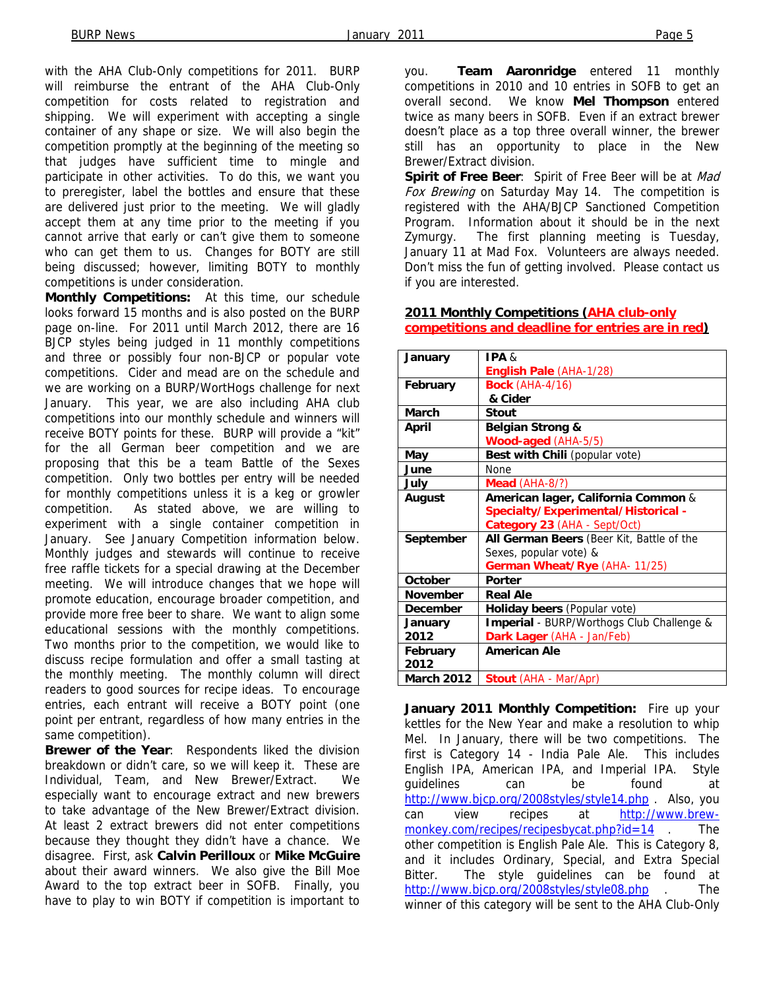with the AHA Club-Only competitions for 2011. BURP will reimburse the entrant of the AHA Club-Only competition for costs related to registration and shipping. We will experiment with accepting a single container of any shape or size. We will also begin the competition promptly at the beginning of the meeting so that judges have sufficient time to mingle and participate in other activities. To do this, we want you to preregister, label the bottles and ensure that these are delivered just prior to the meeting. We will gladly accept them at any time prior to the meeting if you cannot arrive that early or can't give them to someone who can get them to us. Changes for BOTY are still being discussed; however, limiting BOTY to monthly competitions is under consideration.

**Monthly Competitions:** At this time, our schedule looks forward 15 months and is also posted on the BURP page on-line. For 2011 until March 2012, there are 16 BJCP styles being judged in 11 monthly competitions and three or possibly four non-BJCP or popular vote competitions. Cider and mead are on the schedule and we are working on a BURP/WortHogs challenge for next January. This year, we are also including AHA club competitions into our monthly schedule and winners will receive BOTY points for these. BURP will provide a "kit" for the all German beer competition and we are proposing that this be a team Battle of the Sexes competition. Only two bottles per entry will be needed for monthly competitions unless it is a keg or growler competition. As stated above, we are willing to experiment with a single container competition in January. See January Competition information below. Monthly judges and stewards will continue to receive free raffle tickets for a special drawing at the December meeting. We will introduce changes that we hope will promote education, encourage broader competition, and provide more free beer to share. We want to align some educational sessions with the monthly competitions. Two months prior to the competition, we would like to discuss recipe formulation and offer a small tasting at the monthly meeting. The monthly column will direct readers to good sources for recipe ideas. To encourage entries, each entrant will receive a BOTY point (one point per entrant, regardless of how many entries in the same competition).

**Brewer of the Year**: Respondents liked the division breakdown or didn't care, so we will keep it. These are Individual, Team, and New Brewer/Extract. We especially want to encourage extract and new brewers to take advantage of the New Brewer/Extract division. At least 2 extract brewers did not enter competitions because they thought they didn't have a chance. We disagree. First, ask **Calvin Perilloux** or **Mike McGuire** about their award winners. We also give the Bill Moe Award to the top extract beer in SOFB. Finally, you have to play to win BOTY if competition is important to

you. **Team Aaronridge** entered 11 monthly competitions in 2010 and 10 entries in SOFB to get an overall second. We know **Mel Thompson** entered twice as many beers in SOFB. Even if an extract brewer doesn't place as a top three overall winner, the brewer still has an opportunity to place in the New Brewer/Extract division.

**Spirit of Free Beer**: Spirit of Free Beer will be at Mad Fox Brewing on Saturday May 14. The competition is registered with the AHA/BJCP Sanctioned Competition Program. Information about it should be in the next Zymurgy. The first planning meeting is Tuesday, January 11 at Mad Fox. Volunteers are always needed. Don't miss the fun of getting involved. Please contact us if you are interested.

| January           | IPA &                                     |  |  |  |
|-------------------|-------------------------------------------|--|--|--|
|                   | English Pale (AHA-1/28)                   |  |  |  |
| February          | <b>Bock (AHA-4/16)</b>                    |  |  |  |
|                   | & Cider                                   |  |  |  |
| March             | Stout                                     |  |  |  |
| <b>April</b>      | Belgian Strong &                          |  |  |  |
|                   | Wood-aged (AHA-5/5)                       |  |  |  |
| May               | Best with Chili (popular vote)            |  |  |  |
| June              | None                                      |  |  |  |
| July              | <b>Mead</b> $(AHA-8/?)$                   |  |  |  |
| <b>August</b>     | American lager, California Common &       |  |  |  |
|                   | Specialty/Experimental/Historical -       |  |  |  |
|                   | Category 23 (AHA - Sept/Oct)              |  |  |  |
| September         | All German Beers (Beer Kit, Battle of the |  |  |  |
|                   | Sexes, popular vote) &                    |  |  |  |
|                   | German Wheat/Rye (AHA- 11/25)             |  |  |  |
| October           | Porter                                    |  |  |  |
| <b>November</b>   | <b>Real Ale</b>                           |  |  |  |
| <b>December</b>   | Holiday beers (Popular vote)              |  |  |  |
| January           | Imperial - BURP/Worthogs Club Challenge & |  |  |  |
| 2012              | Dark Lager (AHA - Jan/Feb)                |  |  |  |
| February          | <b>American Ale</b>                       |  |  |  |
| 2012              |                                           |  |  |  |
| <b>March 2012</b> | <b>Stout (AHA - Mar/Apr)</b>              |  |  |  |

**2011 Monthly Competitions (AHA club-only competitions and deadline for entries are in red)**

**January 2011 Monthly Competition:** Fire up your kettles for the New Year and make a resolution to whip Mel. In January, there will be two competitions. The first is Category 14 - India Pale Ale. This includes English IPA, American IPA, and Imperial IPA. Style guidelines can be found at http://www.bjcp.org/2008styles/style14.php . Also, you can view recipes at http://www.brewmonkey.com/recipes/recipesbycat.php?id=14 . The other competition is English Pale Ale. This is Category 8, and it includes Ordinary, Special, and Extra Special Bitter. The style guidelines can be found at http://www.bjcp.org/2008styles/style08.php . The winner of this category will be sent to the AHA Club-Only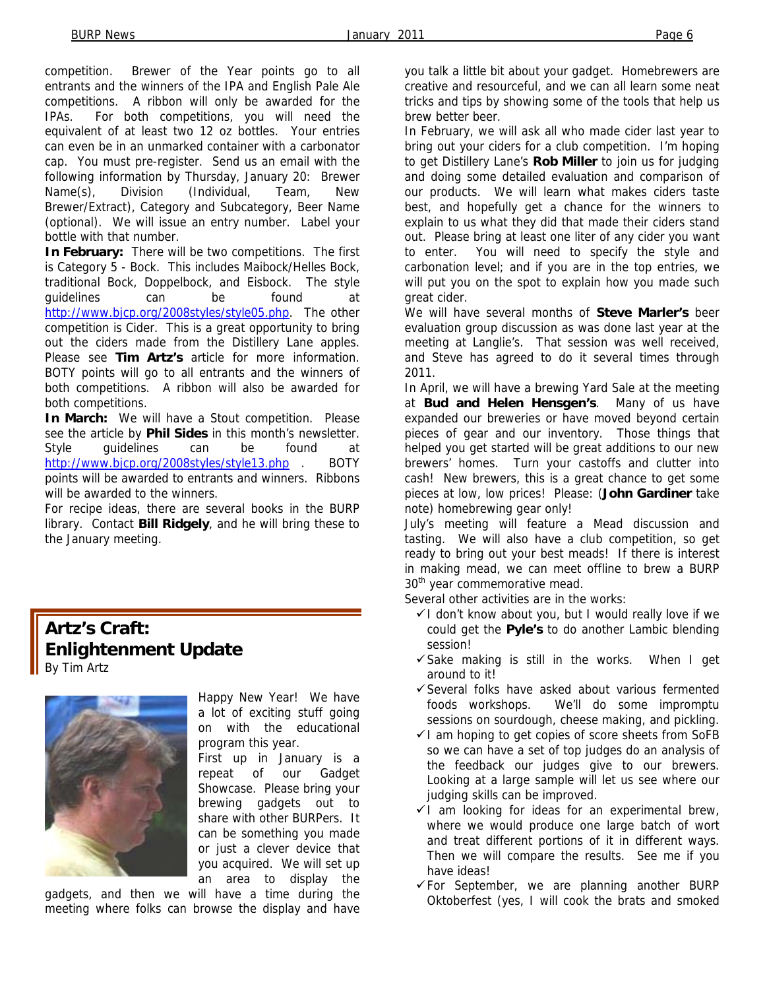competition. Brewer of the Year points go to all entrants and the winners of the IPA and English Pale Ale competitions. A ribbon will only be awarded for the IPAs. For both competitions, you will need the equivalent of at least two 12 oz bottles. Your entries can even be in an unmarked container with a carbonator cap. You must pre-register. Send us an email with the following information by Thursday, January 20: Brewer Name(s), Division (Individual, Team, New Brewer/Extract), Category and Subcategory, Beer Name (optional). We will issue an entry number. Label your bottle with that number.

**In February:** There will be two competitions. The first is Category 5 - Bock. This includes Maibock/Helles Bock, traditional Bock, Doppelbock, and Eisbock. The style guidelines can be found at http://www.bjcp.org/2008styles/style05.php. The other competition is Cider. This is a great opportunity to bring out the ciders made from the Distillery Lane apples. Please see **Tim Artz's** article for more information. BOTY points will go to all entrants and the winners of both competitions. A ribbon will also be awarded for both competitions.

**In March:** We will have a Stout competition. Please see the article by **Phil Sides** in this month's newsletter. Style guidelines can be found at http://www.bjcp.org/2008styles/style13.php . BOTY points will be awarded to entrants and winners. Ribbons will be awarded to the winners.

For recipe ideas, there are several books in the BURP library. Contact **Bill Ridgely**, and he will bring these to the January meeting.

## **Artz's Craft: Enlightenment Update**  By Tim Artz



Happy New Year! We have a lot of exciting stuff going on with the educational program this year.

First up in January is a repeat of our Gadget Showcase. Please bring your brewing gadgets out to share with other BURPers. It can be something you made or just a clever device that you acquired. We will set up an area to display the

gadgets, and then we will have a time during the meeting where folks can browse the display and have

you talk a little bit about your gadget. Homebrewers are creative and resourceful, and we can all learn some neat tricks and tips by showing some of the tools that help us brew better beer.

In February, we will ask all who made cider last year to bring out your ciders for a club competition. I'm hoping to get Distillery Lane's **Rob Miller** to join us for judging and doing some detailed evaluation and comparison of our products. We will learn what makes ciders taste best, and hopefully get a chance for the winners to explain to us what they did that made their ciders stand out. Please bring at least one liter of any cider you want to enter. You will need to specify the style and carbonation level; and if you are in the top entries, we will put you on the spot to explain how you made such great cider.

We will have several months of **Steve Marler's** beer evaluation group discussion as was done last year at the meeting at Langlie's. That session was well received, and Steve has agreed to do it several times through 2011.

In April, we will have a brewing Yard Sale at the meeting at **Bud and Helen Hensgen's**. Many of us have expanded our breweries or have moved beyond certain pieces of gear and our inventory. Those things that helped you get started will be great additions to our new brewers' homes. Turn your castoffs and clutter into cash! New brewers, this is a great chance to get some pieces at low, low prices! Please: (**John Gardiner** take note) homebrewing gear only!

July's meeting will feature a Mead discussion and tasting. We will also have a club competition, so get ready to bring out your best meads! If there is interest in making mead, we can meet offline to brew a BURP 30<sup>th</sup> year commemorative mead.

Several other activities are in the works:

- $\checkmark$  I don't know about you, but I would really love if we could get the **Pyle's** to do another Lambic blending session!
- $\checkmark$  Sake making is still in the works. When I get around to it!
- $\checkmark$  Several folks have asked about various fermented foods workshops. We'll do some impromptu sessions on sourdough, cheese making, and pickling.
- $\checkmark$  I am hoping to get copies of score sheets from SoFB so we can have a set of top judges do an analysis of the feedback our judges give to our brewers. Looking at a large sample will let us see where our judging skills can be improved.
- $\checkmark$  1 am looking for ideas for an experimental brew, where we would produce one large batch of wort and treat different portions of it in different ways. Then we will compare the results. See me if you have ideas!
- $\checkmark$  For September, we are planning another BURP Oktoberfest (yes, I will cook the brats and smoked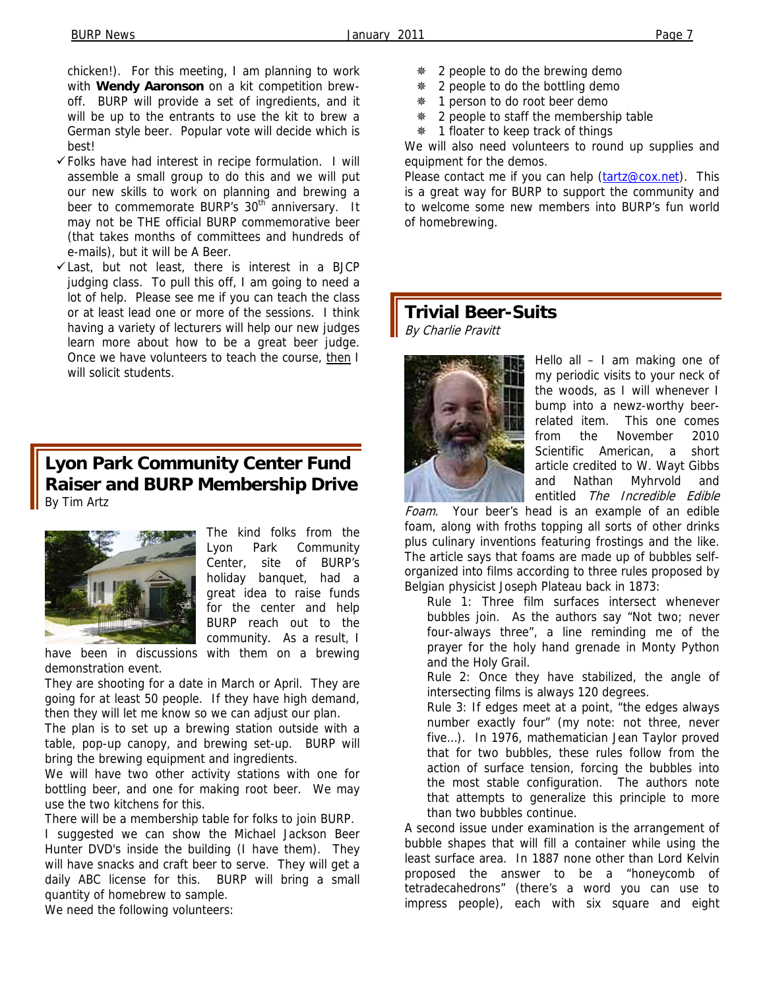chicken!). For this meeting, I am planning to work with **Wendy Aaronson** on a kit competition brewoff. BURP will provide a set of ingredients, and it will be up to the entrants to use the kit to brew a German style beer. Popular vote will decide which is best!

- $\checkmark$  Folks have had interest in recipe formulation. I will assemble a small group to do this and we will put our new skills to work on planning and brewing a beer to commemorate BURP's 30<sup>th</sup> anniversary. It may not be THE official BURP commemorative beer (that takes months of committees and hundreds of e-mails), but it will be A Beer.
- $\checkmark$  Last, but not least, there is interest in a BJCP judging class. To pull this off, I am going to need a lot of help. Please see me if you can teach the class or at least lead one or more of the sessions. I think having a variety of lecturers will help our new judges learn more about how to be a great beer judge. Once we have volunteers to teach the course, then I will solicit students.

## **Lyon Park Community Center Fund Raiser and BURP Membership Drive**  By Tim Artz



The kind folks from the Lyon Park Community Center, site of BURP's holiday banquet, had a great idea to raise funds for the center and help BURP reach out to the community. As a result, I have been in discussions with them on a brewing

demonstration event.

They are shooting for a date in March or April. They are going for at least 50 people. If they have high demand, then they will let me know so we can adjust our plan.

The plan is to set up a brewing station outside with a table, pop-up canopy, and brewing set-up. BURP will bring the brewing equipment and ingredients.

We will have two other activity stations with one for bottling beer, and one for making root beer. We may use the two kitchens for this.

There will be a membership table for folks to join BURP.

I suggested we can show the Michael Jackson Beer Hunter DVD's inside the building (I have them). They will have snacks and craft beer to serve. They will get a daily ABC license for this. BURP will bring a small quantity of homebrew to sample.

We need the following volunteers:

- 2 people to do the brewing demo
- 2 people to do the bottling demo
- $*$  1 person to do root beer demo
- \* 2 people to staff the membership table
- **# 1 floater to keep track of things**

We will also need volunteers to round up supplies and equipment for the demos.

Please contact me if you can help (tartz@cox.net). This is a great way for BURP to support the community and to welcome some new members into BURP's fun world of homebrewing.

#### **Trivial Beer-Suits**  By Charlie Pravitt



Hello all – I am making one of my periodic visits to your neck of the woods, as I will whenever I bump into a newz-worthy beerrelated item. This one comes from the November 2010 Scientific American, a short article credited to W. Wayt Gibbs and Nathan Myhrvold and entitled The Incredible Edible

Foam. Your beer's head is an example of an edible foam, along with froths topping all sorts of other drinks plus culinary inventions featuring frostings and the like. The article says that foams are made up of bubbles selforganized into films according to three rules proposed by Belgian physicist Joseph Plateau back in 1873:

Rule 1: Three film surfaces intersect whenever bubbles join. As the authors say "Not two; never four-always three", a line reminding me of the prayer for the holy hand grenade in Monty Python and the Holy Grail.

Rule 2: Once they have stabilized, the angle of intersecting films is always 120 degrees.

Rule 3: If edges meet at a point, "the edges always number exactly four" (my note: not three, never five…). In 1976, mathematician Jean Taylor proved that for two bubbles, these rules follow from the action of surface tension, forcing the bubbles into the most stable configuration. The authors note that attempts to generalize this principle to more than two bubbles continue.

A second issue under examination is the arrangement of bubble shapes that will fill a container while using the least surface area. In 1887 none other than Lord Kelvin proposed the answer to be a "honeycomb of tetradecahedrons" (there's a word you can use to impress people), each with six square and eight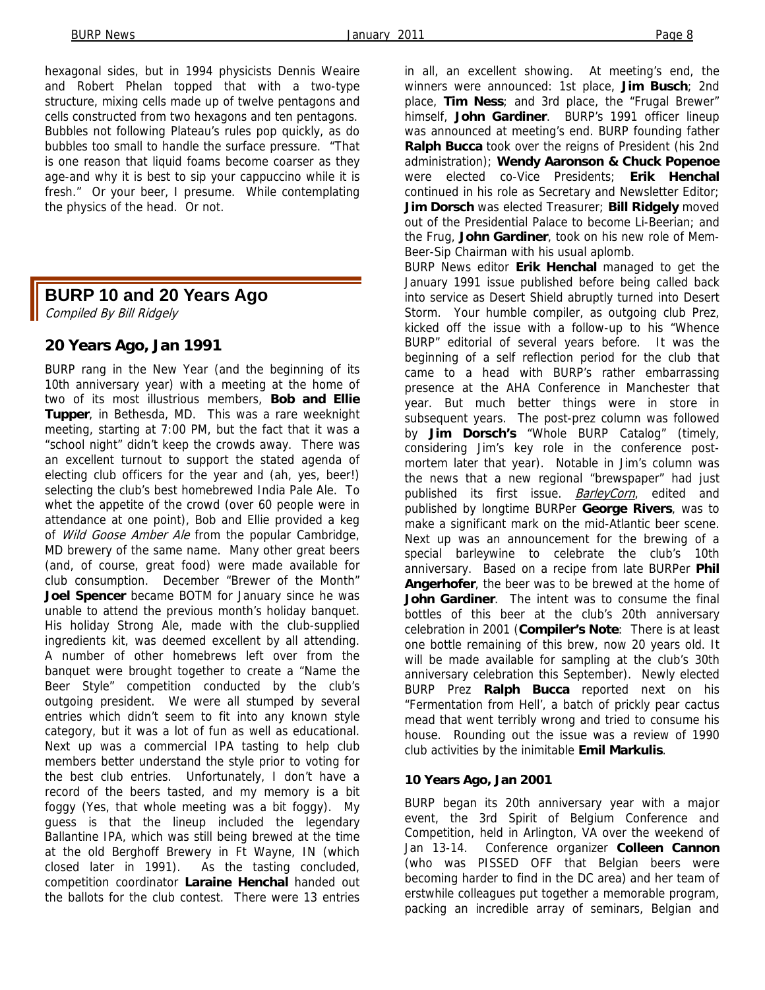hexagonal sides, but in 1994 physicists Dennis Weaire and Robert Phelan topped that with a two-type structure, mixing cells made up of twelve pentagons and cells constructed from two hexagons and ten pentagons. Bubbles not following Plateau's rules pop quickly, as do bubbles too small to handle the surface pressure. "That is one reason that liquid foams become coarser as they age-and why it is best to sip your cappuccino while it is fresh." Or your beer, I presume. While contemplating the physics of the head. Or not.

### **BURP 10 and 20 Years Ago**

Compiled By Bill Ridgely

#### **20 Years Ago, Jan 1991**

BURP rang in the New Year (and the beginning of its 10th anniversary year) with a meeting at the home of two of its most illustrious members, **Bob and Ellie Tupper**, in Bethesda, MD. This was a rare weeknight meeting, starting at 7:00 PM, but the fact that it was a "school night" didn't keep the crowds away. There was an excellent turnout to support the stated agenda of electing club officers for the year and (ah, yes, beer!) selecting the club's best homebrewed India Pale Ale. To whet the appetite of the crowd (over 60 people were in attendance at one point), Bob and Ellie provided a keg of Wild Goose Amber Ale from the popular Cambridge, MD brewery of the same name. Many other great beers (and, of course, great food) were made available for club consumption. December "Brewer of the Month" **Joel Spencer** became BOTM for January since he was unable to attend the previous month's holiday banquet. His holiday Strong Ale, made with the club-supplied ingredients kit, was deemed excellent by all attending. A number of other homebrews left over from the banquet were brought together to create a "Name the Beer Style" competition conducted by the club's outgoing president. We were all stumped by several entries which didn't seem to fit into any known style category, but it was a lot of fun as well as educational. Next up was a commercial IPA tasting to help club members better understand the style prior to voting for the best club entries. Unfortunately, I don't have a record of the beers tasted, and my memory is a bit foggy (Yes, that whole meeting was a bit foggy). My guess is that the lineup included the legendary Ballantine IPA, which was still being brewed at the time at the old Berghoff Brewery in Ft Wayne, IN (which closed later in 1991). As the tasting concluded, competition coordinator **Laraine Henchal** handed out the ballots for the club contest. There were 13 entries

in all, an excellent showing. At meeting's end, the winners were announced: 1st place, **Jim Busch**; 2nd place, **Tim Ness**; and 3rd place, the "Frugal Brewer" himself, **John Gardiner**. BURP's 1991 officer lineup was announced at meeting's end. BURP founding father **Ralph Bucca** took over the reigns of President (his 2nd administration); **Wendy Aaronson & Chuck Popenoe**  were elected co-Vice Presidents; **Erik Henchal**  continued in his role as Secretary and Newsletter Editor; **Jim Dorsch** was elected Treasurer; **Bill Ridgely** moved out of the Presidential Palace to become Li-Beerian; and the Frug, **John Gardiner**, took on his new role of Mem-Beer-Sip Chairman with his usual aplomb.

BURP News editor **Erik Henchal** managed to get the January 1991 issue published before being called back into service as Desert Shield abruptly turned into Desert Storm. Your humble compiler, as outgoing club Prez, kicked off the issue with a follow-up to his "Whence BURP" editorial of several years before. It was the beginning of a self reflection period for the club that came to a head with BURP's rather embarrassing presence at the AHA Conference in Manchester that year. But much better things were in store in subsequent years. The post-prez column was followed by **Jim Dorsch's** "Whole BURP Catalog" (timely, considering Jim's key role in the conference postmortem later that year). Notable in Jim's column was the news that a new regional "brewspaper" had just published its first issue. **BarleyCorn**, edited and published by longtime BURPer **George Rivers**, was to make a significant mark on the mid-Atlantic beer scene. Next up was an announcement for the brewing of a special barleywine to celebrate the club's 10th anniversary. Based on a recipe from late BURPer **Phil Angerhofer**, the beer was to be brewed at the home of **John Gardiner**. The intent was to consume the final bottles of this beer at the club's 20th anniversary celebration in 2001 (**Compiler's Note**: There is at least one bottle remaining of this brew, now 20 years old. It will be made available for sampling at the club's 30th anniversary celebration this September). Newly elected BURP Prez **Ralph Bucca** reported next on his "Fermentation from Hell', a batch of prickly pear cactus mead that went terribly wrong and tried to consume his house. Rounding out the issue was a review of 1990 club activities by the inimitable **Emil Markulis**.

#### **10 Years Ago, Jan 2001**

BURP began its 20th anniversary year with a major event, the 3rd Spirit of Belgium Conference and Competition, held in Arlington, VA over the weekend of Jan 13-14. Conference organizer **Colleen Cannon**  (who was PISSED OFF that Belgian beers were becoming harder to find in the DC area) and her team of erstwhile colleagues put together a memorable program, packing an incredible array of seminars, Belgian and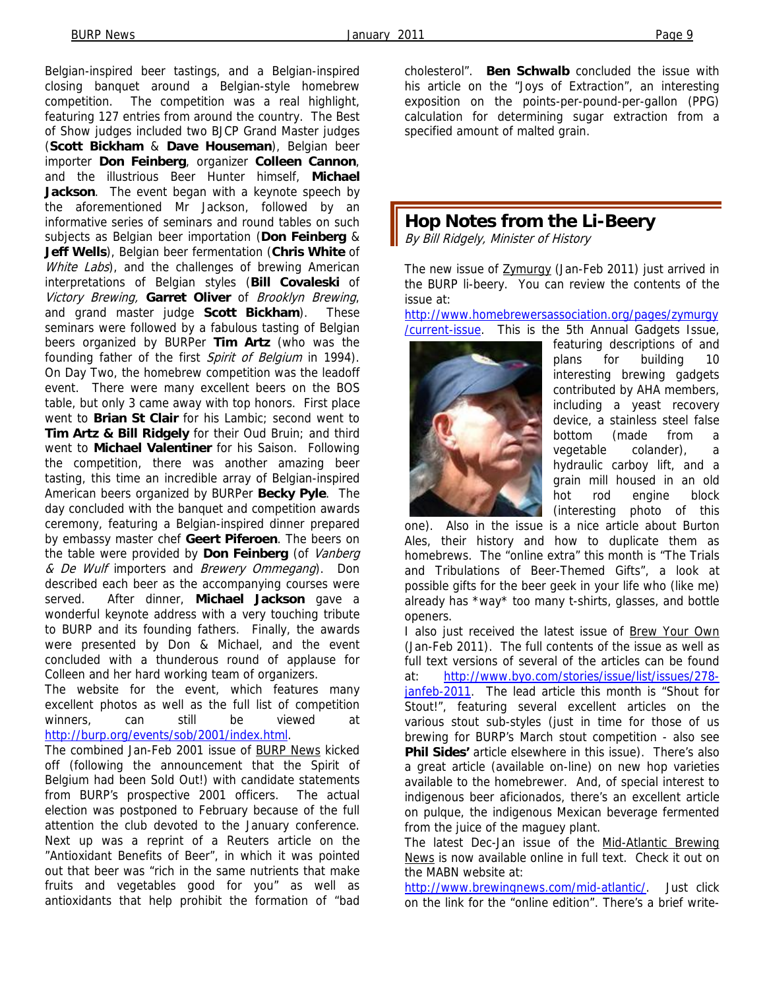Belgian-inspired beer tastings, and a Belgian-inspired closing banquet around a Belgian-style homebrew competition. The competition was a real highlight, featuring 127 entries from around the country. The Best of Show judges included two BJCP Grand Master judges (**Scott Bickham** & **Dave Houseman**), Belgian beer importer **Don Feinberg**, organizer **Colleen Cannon**, and the illustrious Beer Hunter himself, **Michael Jackson**. The event began with a keynote speech by the aforementioned Mr Jackson, followed by an informative series of seminars and round tables on such subjects as Belgian beer importation (**Don Feinberg** & **Jeff Wells**), Belgian beer fermentation (**Chris White** of White Labs), and the challenges of brewing American interpretations of Belgian styles (**Bill Covaleski** of Victory Brewing, **Garret Oliver** of Brooklyn Brewing, and grand master judge **Scott Bickham**). These seminars were followed by a fabulous tasting of Belgian beers organized by BURPer **Tim Artz** (who was the founding father of the first Spirit of Belgium in 1994). On Day Two, the homebrew competition was the leadoff event. There were many excellent beers on the BOS table, but only 3 came away with top honors. First place went to **Brian St Clair** for his Lambic; second went to **Tim Artz & Bill Ridgely** for their Oud Bruin; and third went to **Michael Valentiner** for his Saison. Following the competition, there was another amazing beer tasting, this time an incredible array of Belgian-inspired American beers organized by BURPer **Becky Pyle**. The day concluded with the banquet and competition awards ceremony, featuring a Belgian-inspired dinner prepared by embassy master chef **Geert Piferoen**. The beers on the table were provided by **Don Feinberg** (of Vanberg & De Wulf importers and Brewery Ommegang). Don described each beer as the accompanying courses were served. After dinner, **Michael Jackson** gave a wonderful keynote address with a very touching tribute to BURP and its founding fathers. Finally, the awards were presented by Don & Michael, and the event concluded with a thunderous round of applause for Colleen and her hard working team of organizers.

The website for the event, which features many excellent photos as well as the full list of competition winners, can still be viewed at http://burp.org/events/sob/2001/index.html.

The combined Jan-Feb 2001 issue of BURP News kicked off (following the announcement that the Spirit of Belgium had been Sold Out!) with candidate statements from BURP's prospective 2001 officers. The actual election was postponed to February because of the full attention the club devoted to the January conference. Next up was a reprint of a Reuters article on the "Antioxidant Benefits of Beer", in which it was pointed out that beer was "rich in the same nutrients that make fruits and vegetables good for you" as well as antioxidants that help prohibit the formation of "bad cholesterol". **Ben Schwalb** concluded the issue with his article on the "Joys of Extraction", an interesting exposition on the points-per-pound-per-gallon (PPG) calculation for determining sugar extraction from a specified amount of malted grain.

## **Hop Notes from the Li-Beery**

By Bill Ridgely, Minister of History

The new issue of Zymurgy (Jan-Feb 2011) just arrived in the BURP li-beery. You can review the contents of the issue at:

http://www.homebrewersassociation.org/pages/zymurgy /current-issue. This is the 5th Annual Gadgets Issue,



featuring descriptions of and plans for building 10 interesting brewing gadgets contributed by AHA members, including a yeast recovery device, a stainless steel false bottom (made from a vegetable colander), a hydraulic carboy lift, and a grain mill housed in an old hot rod engine block (interesting photo of this

one). Also in the issue is a nice article about Burton Ales, their history and how to duplicate them as homebrews. The "online extra" this month is "The Trials and Tribulations of Beer-Themed Gifts", a look at possible gifts for the beer geek in your life who (like me) already has \*way\* too many t-shirts, glasses, and bottle openers.

I also just received the latest issue of Brew Your Own (Jan-Feb 2011). The full contents of the issue as well as full text versions of several of the articles can be found at: http://www.byo.com/stories/issue/list/issues/278 janfeb-2011. The lead article this month is "Shout for Stout!", featuring several excellent articles on the various stout sub-styles (just in time for those of us brewing for BURP's March stout competition - also see **Phil Sides'** article elsewhere in this issue). There's also a great article (available on-line) on new hop varieties available to the homebrewer. And, of special interest to indigenous beer aficionados, there's an excellent article on pulque, the indigenous Mexican beverage fermented from the juice of the maguey plant.

The latest Dec-Jan issue of the Mid-Atlantic Brewing News is now available online in full text. Check it out on the MABN website at:

http://www.brewingnews.com/mid-atlantic/. Just click on the link for the "online edition". There's a brief write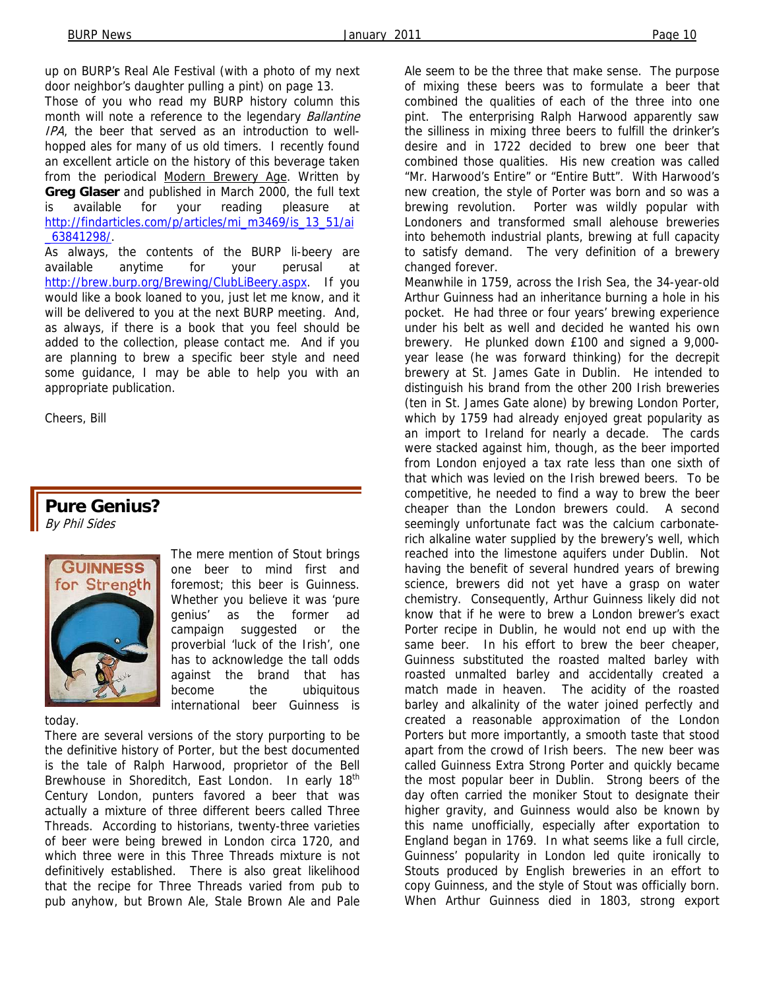up on BURP's Real Ale Festival (with a photo of my next door neighbor's daughter pulling a pint) on page 13.

Those of you who read my BURP history column this month will note a reference to the legendary **Ballantine** IPA, the beer that served as an introduction to wellhopped ales for many of us old timers. I recently found an excellent article on the history of this beverage taken from the periodical Modern Brewery Age. Written by **Greg Glaser** and published in March 2000, the full text is available for your reading pleasure at http://findarticles.com/p/articles/mi\_m3469/is\_13\_51/ai \_63841298/.

As always, the contents of the BURP li-beery are available anytime for your perusal at http://brew.burp.org/Brewing/ClubLiBeery.aspx. If you would like a book loaned to you, just let me know, and it will be delivered to you at the next BURP meeting. And, as always, if there is a book that you feel should be added to the collection, please contact me. And if you are planning to brew a specific beer style and need some guidance, I may be able to help you with an appropriate publication.

Cheers, Bill

# **Pure Genius?**

By Phil Sides



The mere mention of Stout brings one beer to mind first and foremost; this beer is Guinness. Whether you believe it was 'pure genius' as the former ad campaign suggested or the proverbial 'luck of the Irish', one has to acknowledge the tall odds against the brand that has become the ubiquitous international beer Guinness is

today.

There are several versions of the story purporting to be the definitive history of Porter, but the best documented is the tale of Ralph Harwood, proprietor of the Bell Brewhouse in Shoreditch, East London. In early 18<sup>th</sup> Century London, punters favored a beer that was actually a mixture of three different beers called Three Threads. According to historians, twenty-three varieties of beer were being brewed in London circa 1720, and which three were in this Three Threads mixture is not definitively established. There is also great likelihood that the recipe for Three Threads varied from pub to pub anyhow, but Brown Ale, Stale Brown Ale and Pale Ale seem to be the three that make sense. The purpose of mixing these beers was to formulate a beer that combined the qualities of each of the three into one pint. The enterprising Ralph Harwood apparently saw the silliness in mixing three beers to fulfill the drinker's desire and in 1722 decided to brew one beer that combined those qualities. His new creation was called "Mr. Harwood's Entire" or "Entire Butt". With Harwood's new creation, the style of Porter was born and so was a brewing revolution. Porter was wildly popular with Londoners and transformed small alehouse breweries into behemoth industrial plants, brewing at full capacity to satisfy demand. The very definition of a brewery changed forever.

Meanwhile in 1759, across the Irish Sea, the 34-year-old Arthur Guinness had an inheritance burning a hole in his pocket. He had three or four years' brewing experience under his belt as well and decided he wanted his own brewery. He plunked down £100 and signed a 9,000 year lease (he was forward thinking) for the decrepit brewery at St. James Gate in Dublin. He intended to distinguish his brand from the other 200 Irish breweries (ten in St. James Gate alone) by brewing London Porter, which by 1759 had already enjoyed great popularity as an import to Ireland for nearly a decade. The cards were stacked against him, though, as the beer imported from London enjoyed a tax rate less than one sixth of that which was levied on the Irish brewed beers. To be competitive, he needed to find a way to brew the beer cheaper than the London brewers could. A second seemingly unfortunate fact was the calcium carbonaterich alkaline water supplied by the brewery's well, which reached into the limestone aquifers under Dublin. Not having the benefit of several hundred years of brewing science, brewers did not yet have a grasp on water chemistry. Consequently, Arthur Guinness likely did not know that if he were to brew a London brewer's exact Porter recipe in Dublin, he would not end up with the same beer. In his effort to brew the beer cheaper, Guinness substituted the roasted malted barley with roasted unmalted barley and accidentally created a match made in heaven. The acidity of the roasted barley and alkalinity of the water joined perfectly and created a reasonable approximation of the London Porters but more importantly, a smooth taste that stood apart from the crowd of Irish beers. The new beer was called Guinness Extra Strong Porter and quickly became the most popular beer in Dublin. Strong beers of the day often carried the moniker Stout to designate their higher gravity, and Guinness would also be known by this name unofficially, especially after exportation to England began in 1769. In what seems like a full circle, Guinness' popularity in London led quite ironically to Stouts produced by English breweries in an effort to copy Guinness, and the style of Stout was officially born. When Arthur Guinness died in 1803, strong export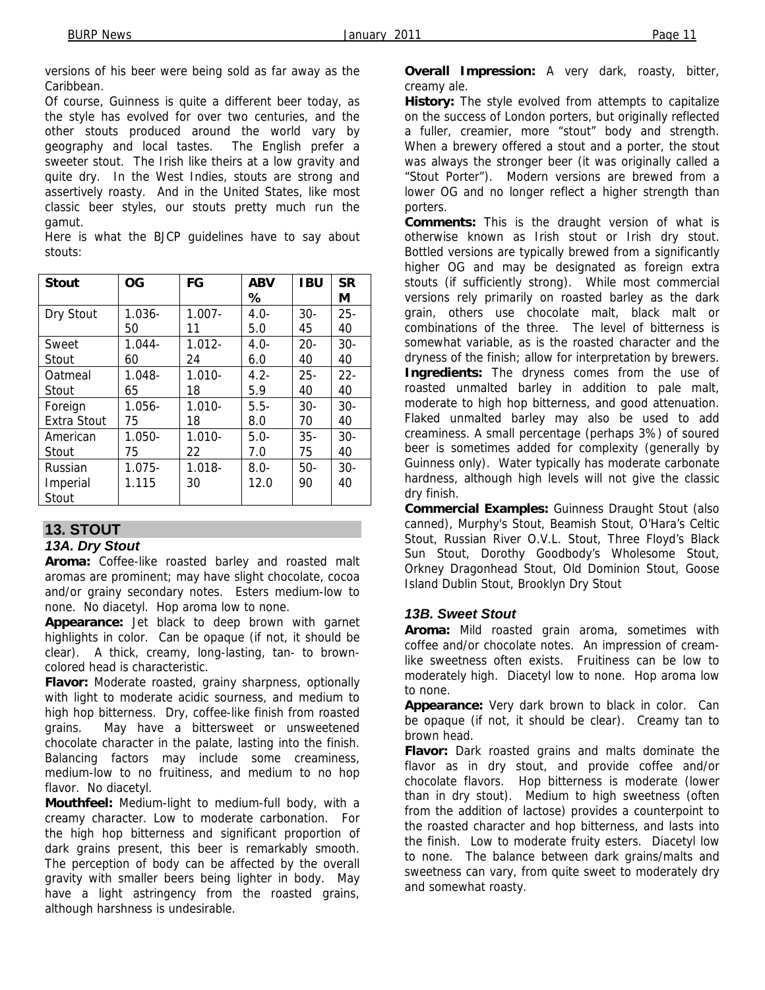versions of his beer were being sold as far away as the Caribbean.

Of course, Guinness is quite a different beer today, as the style has evolved for over two centuries, and the other stouts produced around the world vary by geography and local tastes. The English prefer a sweeter stout. The Irish like theirs at a low gravity and quite dry. In the West Indies, stouts are strong and assertively roasty. And in the United States, like most classic beer styles, our stouts pretty much run the gamut.

Here is what the BJCP guidelines have to say about stouts:

| <b>Stout</b> | <b>OG</b> | FG        | <b>ABV</b> | <b>IBU</b> | <b>SR</b> |
|--------------|-----------|-----------|------------|------------|-----------|
|              |           |           | ℅          |            | М         |
| Dry Stout    | $1.036 -$ | $1.007 -$ | $4.0 -$    | $30-$      | $25 -$    |
|              | 50        | 11        | 5.0        | 45         | 40        |
| Sweet        | $1.044 -$ | $1.012 -$ | $4.0 -$    | $20 -$     | $30-$     |
| Stout        | 60        | 24        | 6.0        | 40         | 40        |
| Oatmeal      | $1.048 -$ | $1.010 -$ | $4.2 -$    | $25 -$     | $22 -$    |
| Stout        | 65        | 18        | 5.9        | 40         | 40        |
| Foreign      | $1.056 -$ | $1.010 -$ | $5.5-$     | $30 -$     | $30 -$    |
| Extra Stout  | 75        | 18        | 8.0        | 70         | 40        |
| American     | $1.050 -$ | $1.010 -$ | $5.0-$     | $35 -$     | $30-$     |
| Stout        | 75        | 22        | 7.0        | 75         | 40        |
| Russian      | $1.075 -$ | $1.018 -$ | $8.0-$     | $50-$      | $30-$     |
| Imperial     | 1.115     | 30        | 12.0       | 90         | 40        |
| Stout        |           |           |            |            |           |

## **13. STOUT**

#### *13A. Dry Stout*

**Aroma:** Coffee-like roasted barley and roasted malt aromas are prominent; may have slight chocolate, cocoa and/or grainy secondary notes. Esters medium-low to none. No diacetyl. Hop aroma low to none.

**Appearance:** Jet black to deep brown with garnet highlights in color. Can be opaque (if not, it should be clear). A thick, creamy, long-lasting, tan- to browncolored head is characteristic.

**Flavor:** Moderate roasted, grainy sharpness, optionally with light to moderate acidic sourness, and medium to high hop bitterness. Dry, coffee-like finish from roasted grains. May have a bittersweet or unsweetened chocolate character in the palate, lasting into the finish. Balancing factors may include some creaminess, medium-low to no fruitiness, and medium to no hop flavor. No diacetyl.

**Mouthfeel:** Medium-light to medium-full body, with a creamy character. Low to moderate carbonation. For the high hop bitterness and significant proportion of dark grains present, this beer is remarkably smooth. The perception of body can be affected by the overall gravity with smaller beers being lighter in body. May have a light astringency from the roasted grains, although harshness is undesirable.

**Overall Impression:** A very dark, roasty, bitter, creamy ale.

**History:** The style evolved from attempts to capitalize on the success of London porters, but originally reflected a fuller, creamier, more "stout" body and strength. When a brewery offered a stout and a porter, the stout was always the stronger beer (it was originally called a "Stout Porter"). Modern versions are brewed from a lower OG and no longer reflect a higher strength than porters.

**Comments:** This is the draught version of what is otherwise known as Irish stout or Irish dry stout. Bottled versions are typically brewed from a significantly higher OG and may be designated as foreign extra stouts (if sufficiently strong). While most commercial versions rely primarily on roasted barley as the dark grain, others use chocolate malt, black malt or combinations of the three. The level of bitterness is somewhat variable, as is the roasted character and the dryness of the finish; allow for interpretation by brewers. **Ingredients:** The dryness comes from the use of roasted unmalted barley in addition to pale malt, moderate to high hop bitterness, and good attenuation. Flaked unmalted barley may also be used to add creaminess. A small percentage (perhaps 3%) of soured beer is sometimes added for complexity (generally by Guinness only). Water typically has moderate carbonate hardness, although high levels will not give the classic dry finish.

**Commercial Examples:** Guinness Draught Stout (also canned), Murphy's Stout, Beamish Stout, O'Hara's Celtic Stout, Russian River O.V.L. Stout, Three Floyd's Black Sun Stout, Dorothy Goodbody's Wholesome Stout, Orkney Dragonhead Stout, Old Dominion Stout, Goose Island Dublin Stout, Brooklyn Dry Stout

#### *13B. Sweet Stout*

**Aroma:** Mild roasted grain aroma, sometimes with coffee and/or chocolate notes. An impression of creamlike sweetness often exists. Fruitiness can be low to moderately high. Diacetyl low to none. Hop aroma low to none.

**Appearance:** Very dark brown to black in color. Can be opaque (if not, it should be clear). Creamy tan to brown head.

**Flavor:** Dark roasted grains and malts dominate the flavor as in dry stout, and provide coffee and/or chocolate flavors. Hop bitterness is moderate (lower than in dry stout). Medium to high sweetness (often from the addition of lactose) provides a counterpoint to the roasted character and hop bitterness, and lasts into the finish. Low to moderate fruity esters. Diacetyl low to none. The balance between dark grains/malts and sweetness can vary, from quite sweet to moderately dry and somewhat roasty.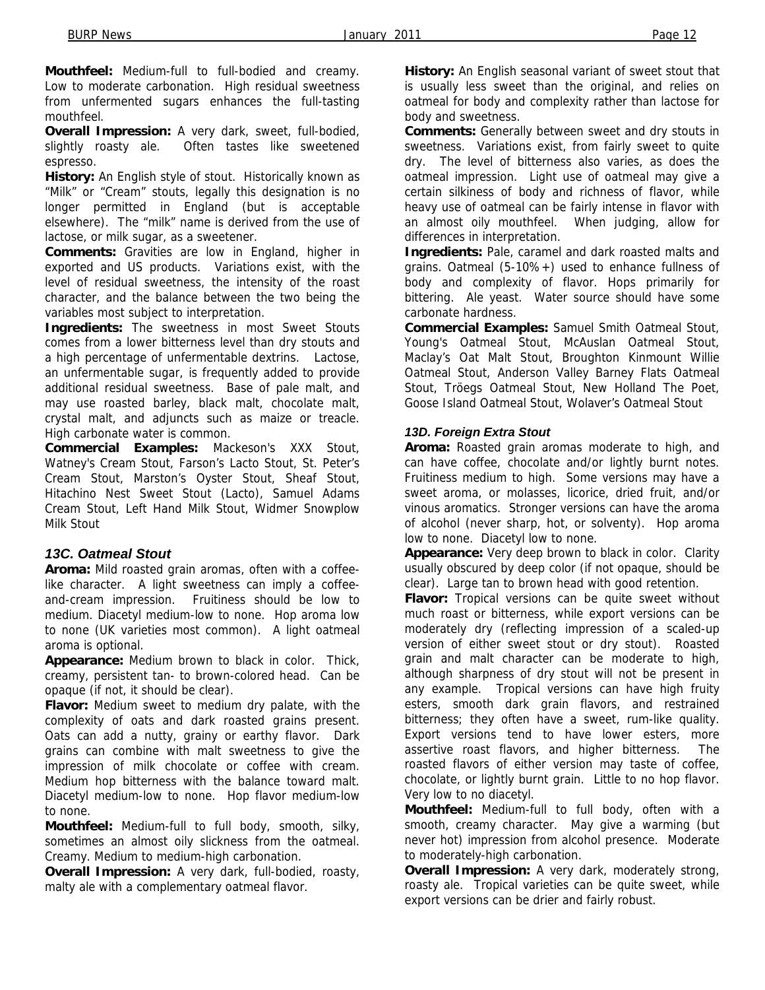**Mouthfeel:** Medium-full to full-bodied and creamy. Low to moderate carbonation. High residual sweetness from unfermented sugars enhances the full-tasting mouthfeel.

**Overall Impression:** A very dark, sweet, full-bodied, slightly roasty ale. Often tastes like sweetened espresso.

**History:** An English style of stout. Historically known as "Milk" or "Cream" stouts, legally this designation is no longer permitted in England (but is acceptable elsewhere). The "milk" name is derived from the use of lactose, or milk sugar, as a sweetener.

**Comments:** Gravities are low in England, higher in exported and US products. Variations exist, with the level of residual sweetness, the intensity of the roast character, and the balance between the two being the variables most subject to interpretation.

**Ingredients:** The sweetness in most Sweet Stouts comes from a lower bitterness level than dry stouts and a high percentage of unfermentable dextrins. Lactose, an unfermentable sugar, is frequently added to provide additional residual sweetness. Base of pale malt, and may use roasted barley, black malt, chocolate malt, crystal malt, and adjuncts such as maize or treacle. High carbonate water is common.

**Commercial Examples:** Mackeson's XXX Stout, Watney's Cream Stout, Farson's Lacto Stout, St. Peter's Cream Stout, Marston's Oyster Stout, Sheaf Stout, Hitachino Nest Sweet Stout (Lacto), Samuel Adams Cream Stout, Left Hand Milk Stout, Widmer Snowplow Milk Stout

#### *13C. Oatmeal Stout*

**Aroma:** Mild roasted grain aromas, often with a coffeelike character. A light sweetness can imply a coffeeand-cream impression. Fruitiness should be low to medium. Diacetyl medium-low to none. Hop aroma low to none (UK varieties most common). A light oatmeal aroma is optional.

**Appearance:** Medium brown to black in color. Thick, creamy, persistent tan- to brown-colored head. Can be opaque (if not, it should be clear).

**Flavor:** Medium sweet to medium dry palate, with the complexity of oats and dark roasted grains present. Oats can add a nutty, grainy or earthy flavor. Dark grains can combine with malt sweetness to give the impression of milk chocolate or coffee with cream. Medium hop bitterness with the balance toward malt. Diacetyl medium-low to none. Hop flavor medium-low to none.

**Mouthfeel:** Medium-full to full body, smooth, silky, sometimes an almost oily slickness from the oatmeal. Creamy. Medium to medium-high carbonation.

**Overall Impression:** A very dark, full-bodied, roasty, malty ale with a complementary oatmeal flavor.

**History:** An English seasonal variant of sweet stout that is usually less sweet than the original, and relies on oatmeal for body and complexity rather than lactose for body and sweetness.

**Comments:** Generally between sweet and dry stouts in sweetness. Variations exist, from fairly sweet to quite dry. The level of bitterness also varies, as does the oatmeal impression. Light use of oatmeal may give a certain silkiness of body and richness of flavor, while heavy use of oatmeal can be fairly intense in flavor with an almost oily mouthfeel. When judging, allow for differences in interpretation.

**Ingredients:** Pale, caramel and dark roasted malts and grains. Oatmeal (5-10%+) used to enhance fullness of body and complexity of flavor. Hops primarily for bittering. Ale yeast. Water source should have some carbonate hardness.

**Commercial Examples:** Samuel Smith Oatmeal Stout, Young's Oatmeal Stout, McAuslan Oatmeal Stout, Maclay's Oat Malt Stout, Broughton Kinmount Willie Oatmeal Stout, Anderson Valley Barney Flats Oatmeal Stout, Tröegs Oatmeal Stout, New Holland The Poet, Goose Island Oatmeal Stout, Wolaver's Oatmeal Stout

#### *13D. Foreign Extra Stout*

**Aroma:** Roasted grain aromas moderate to high, and can have coffee, chocolate and/or lightly burnt notes. Fruitiness medium to high. Some versions may have a sweet aroma, or molasses, licorice, dried fruit, and/or vinous aromatics. Stronger versions can have the aroma of alcohol (never sharp, hot, or solventy). Hop aroma low to none. Diacetyl low to none.

**Appearance:** Very deep brown to black in color. Clarity usually obscured by deep color (if not opaque, should be clear). Large tan to brown head with good retention.

**Flavor:** Tropical versions can be quite sweet without much roast or bitterness, while export versions can be moderately dry (reflecting impression of a scaled-up version of either sweet stout or dry stout). Roasted grain and malt character can be moderate to high, although sharpness of dry stout will not be present in any example. Tropical versions can have high fruity esters, smooth dark grain flavors, and restrained bitterness; they often have a sweet, rum-like quality. Export versions tend to have lower esters, more assertive roast flavors, and higher bitterness. The roasted flavors of either version may taste of coffee, chocolate, or lightly burnt grain. Little to no hop flavor. Very low to no diacetyl.

**Mouthfeel:** Medium-full to full body, often with a smooth, creamy character. May give a warming (but never hot) impression from alcohol presence. Moderate to moderately-high carbonation.

**Overall Impression:** A very dark, moderately strong, roasty ale. Tropical varieties can be quite sweet, while export versions can be drier and fairly robust.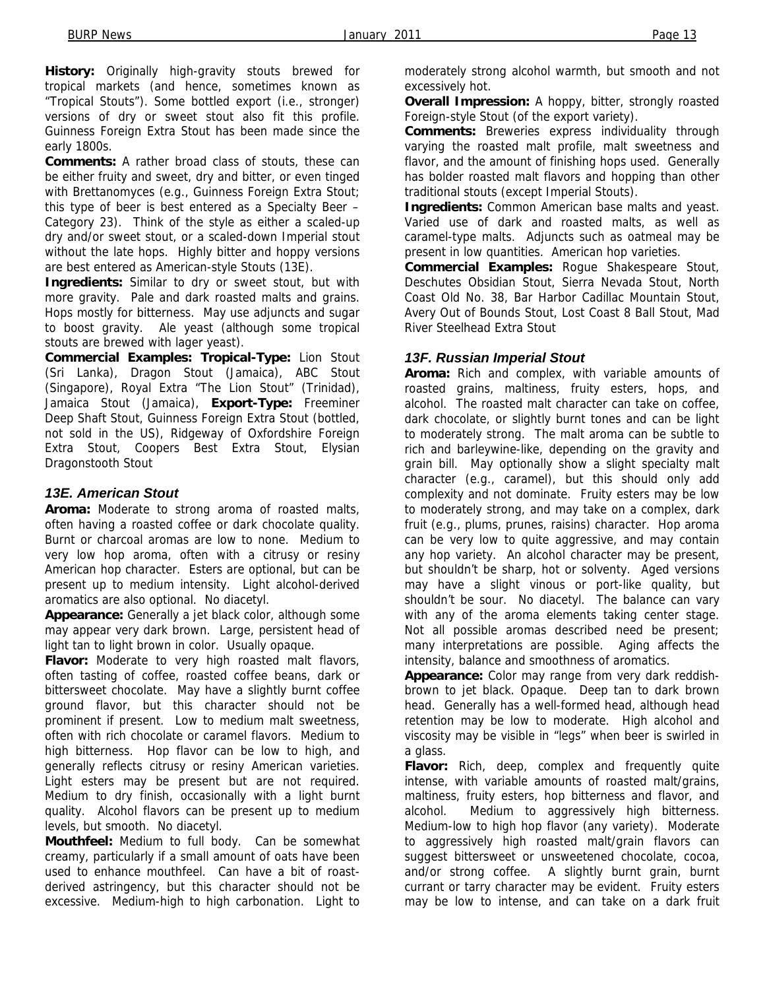**History:** Originally high-gravity stouts brewed for tropical markets (and hence, sometimes known as "Tropical Stouts"). Some bottled export (i.e., stronger) versions of dry or sweet stout also fit this profile. Guinness Foreign Extra Stout has been made since the early 1800s.

**Comments:** A rather broad class of stouts, these can be either fruity and sweet, dry and bitter, or even tinged with Brettanomyces (e.g., Guinness Foreign Extra Stout; this type of beer is best entered as a Specialty Beer – Category 23). Think of the style as either a scaled-up dry and/or sweet stout, or a scaled-down Imperial stout without the late hops. Highly bitter and hoppy versions are best entered as American-style Stouts (13E).

**Ingredients:** Similar to dry or sweet stout, but with more gravity. Pale and dark roasted malts and grains. Hops mostly for bitterness. May use adjuncts and sugar to boost gravity. Ale yeast (although some tropical stouts are brewed with lager yeast).

**Commercial Examples: Tropical-Type:** Lion Stout (Sri Lanka), Dragon Stout (Jamaica), ABC Stout (Singapore), Royal Extra "The Lion Stout" (Trinidad), Jamaica Stout (Jamaica), **Export-Type:** Freeminer Deep Shaft Stout, Guinness Foreign Extra Stout (bottled, not sold in the US), Ridgeway of Oxfordshire Foreign Extra Stout, Coopers Best Extra Stout, Elysian Dragonstooth Stout

#### *13E. American Stout*

**Aroma:** Moderate to strong aroma of roasted malts, often having a roasted coffee or dark chocolate quality. Burnt or charcoal aromas are low to none. Medium to very low hop aroma, often with a citrusy or resiny American hop character. Esters are optional, but can be present up to medium intensity. Light alcohol-derived aromatics are also optional. No diacetyl.

**Appearance:** Generally a jet black color, although some may appear very dark brown. Large, persistent head of light tan to light brown in color. Usually opaque.

**Flavor:** Moderate to very high roasted malt flavors, often tasting of coffee, roasted coffee beans, dark or bittersweet chocolate. May have a slightly burnt coffee ground flavor, but this character should not be prominent if present. Low to medium malt sweetness, often with rich chocolate or caramel flavors. Medium to high bitterness. Hop flavor can be low to high, and generally reflects citrusy or resiny American varieties. Light esters may be present but are not required. Medium to dry finish, occasionally with a light burnt quality. Alcohol flavors can be present up to medium levels, but smooth. No diacetyl.

**Mouthfeel:** Medium to full body. Can be somewhat creamy, particularly if a small amount of oats have been used to enhance mouthfeel. Can have a bit of roastderived astringency, but this character should not be excessive. Medium-high to high carbonation. Light to

moderately strong alcohol warmth, but smooth and not excessively hot.

**Overall Impression:** A hoppy, bitter, strongly roasted Foreign-style Stout (of the export variety).

**Comments:** Breweries express individuality through varying the roasted malt profile, malt sweetness and flavor, and the amount of finishing hops used. Generally has bolder roasted malt flavors and hopping than other traditional stouts (except Imperial Stouts).

**Ingredients:** Common American base malts and yeast. Varied use of dark and roasted malts, as well as caramel-type malts. Adjuncts such as oatmeal may be present in low quantities. American hop varieties.

**Commercial Examples:** Rogue Shakespeare Stout, Deschutes Obsidian Stout, Sierra Nevada Stout, North Coast Old No. 38, Bar Harbor Cadillac Mountain Stout, Avery Out of Bounds Stout, Lost Coast 8 Ball Stout, Mad River Steelhead Extra Stout

#### *13F. Russian Imperial Stout*

**Aroma:** Rich and complex, with variable amounts of roasted grains, maltiness, fruity esters, hops, and alcohol. The roasted malt character can take on coffee, dark chocolate, or slightly burnt tones and can be light to moderately strong. The malt aroma can be subtle to rich and barleywine-like, depending on the gravity and grain bill. May optionally show a slight specialty malt character (e.g., caramel), but this should only add complexity and not dominate. Fruity esters may be low to moderately strong, and may take on a complex, dark fruit (e.g., plums, prunes, raisins) character. Hop aroma can be very low to quite aggressive, and may contain any hop variety. An alcohol character may be present, but shouldn't be sharp, hot or solventy. Aged versions may have a slight vinous or port-like quality, but shouldn't be sour. No diacetyl. The balance can vary with any of the aroma elements taking center stage. Not all possible aromas described need be present; many interpretations are possible. Aging affects the intensity, balance and smoothness of aromatics.

**Appearance:** Color may range from very dark reddishbrown to jet black. Opaque. Deep tan to dark brown head. Generally has a well-formed head, although head retention may be low to moderate. High alcohol and viscosity may be visible in "legs" when beer is swirled in a glass.

**Flavor:** Rich, deep, complex and frequently quite intense, with variable amounts of roasted malt/grains, maltiness, fruity esters, hop bitterness and flavor, and alcohol. Medium to aggressively high bitterness. Medium-low to high hop flavor (any variety). Moderate to aggressively high roasted malt/grain flavors can suggest bittersweet or unsweetened chocolate, cocoa, and/or strong coffee. A slightly burnt grain, burnt currant or tarry character may be evident. Fruity esters may be low to intense, and can take on a dark fruit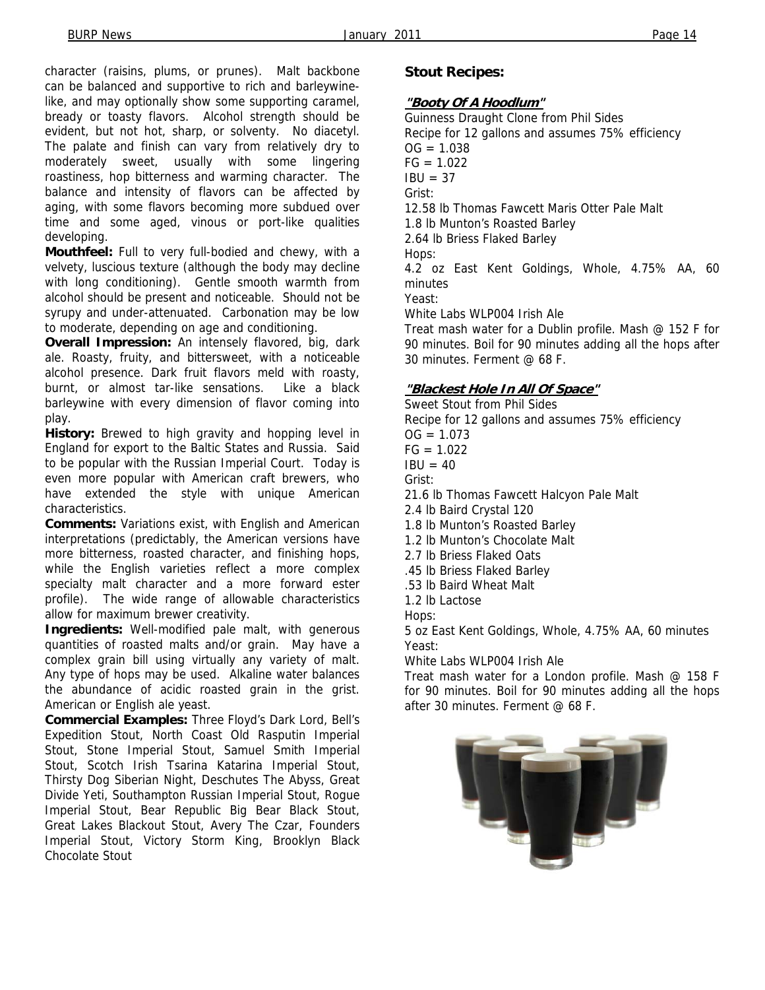character (raisins, plums, or prunes). Malt backbone can be balanced and supportive to rich and barleywinelike, and may optionally show some supporting caramel, bready or toasty flavors. Alcohol strength should be evident, but not hot, sharp, or solventy. No diacetyl. The palate and finish can vary from relatively dry to moderately sweet, usually with some lingering roastiness, hop bitterness and warming character. The balance and intensity of flavors can be affected by aging, with some flavors becoming more subdued over time and some aged, vinous or port-like qualities developing.

**Mouthfeel:** Full to very full-bodied and chewy, with a velvety, luscious texture (although the body may decline with long conditioning). Gentle smooth warmth from alcohol should be present and noticeable. Should not be syrupy and under-attenuated. Carbonation may be low to moderate, depending on age and conditioning.

**Overall Impression:** An intensely flavored, big, dark ale. Roasty, fruity, and bittersweet, with a noticeable alcohol presence. Dark fruit flavors meld with roasty, burnt, or almost tar-like sensations. Like a black barleywine with every dimension of flavor coming into play.

**History:** Brewed to high gravity and hopping level in England for export to the Baltic States and Russia. Said to be popular with the Russian Imperial Court. Today is even more popular with American craft brewers, who have extended the style with unique American characteristics.

**Comments:** Variations exist, with English and American interpretations (predictably, the American versions have more bitterness, roasted character, and finishing hops, while the English varieties reflect a more complex specialty malt character and a more forward ester profile). The wide range of allowable characteristics allow for maximum brewer creativity.

**Ingredients:** Well-modified pale malt, with generous quantities of roasted malts and/or grain. May have a complex grain bill using virtually any variety of malt. Any type of hops may be used. Alkaline water balances the abundance of acidic roasted grain in the grist. American or English ale yeast.

**Commercial Examples:** Three Floyd's Dark Lord, Bell's Expedition Stout, North Coast Old Rasputin Imperial Stout, Stone Imperial Stout, Samuel Smith Imperial Stout, Scotch Irish Tsarina Katarina Imperial Stout, Thirsty Dog Siberian Night, Deschutes The Abyss, Great Divide Yeti, Southampton Russian Imperial Stout, Rogue Imperial Stout, Bear Republic Big Bear Black Stout, Great Lakes Blackout Stout, Avery The Czar, Founders Imperial Stout, Victory Storm King, Brooklyn Black Chocolate Stout

#### **Stout Recipes:**

#### **"Booty Of A Hoodlum"**

Guinness Draught Clone from Phil Sides Recipe for 12 gallons and assumes 75% efficiency  $OG = 1.038$  $FG = 1.022$  $IBU = 37$ Grist: 12.58 lb Thomas Fawcett Maris Otter Pale Malt 1.8 lb Munton's Roasted Barley 2.64 lb Briess Flaked Barley Hops: 4.2 oz East Kent Goldings, Whole, 4.75% AA, 60 minutes Yeast: White Labs WLP004 Irish Ale Treat mash water for a Dublin profile. Mash @ 152 F for 90 minutes. Boil for 90 minutes adding all the hops after

#### **"Blackest Hole In All Of Space"**

30 minutes. Ferment @ 68 F.

Sweet Stout from Phil Sides Recipe for 12 gallons and assumes 75% efficiency  $OG = 1.073$  $FG = 1.022$  $IBU = 40$ Grist: 21.6 lb Thomas Fawcett Halcyon Pale Malt 2.4 lb Baird Crystal 120 1.8 lb Munton's Roasted Barley 1.2 lb Munton's Chocolate Malt 2.7 lb Briess Flaked Oats .45 lb Briess Flaked Barley .53 lb Baird Wheat Malt 1.2 lb Lactose Hops: 5 oz East Kent Goldings, Whole, 4.75% AA, 60 minutes Yeast:

White Labs WLP004 Irish Ale

Treat mash water for a London profile. Mash @ 158 F for 90 minutes. Boil for 90 minutes adding all the hops after 30 minutes. Ferment @ 68 F.